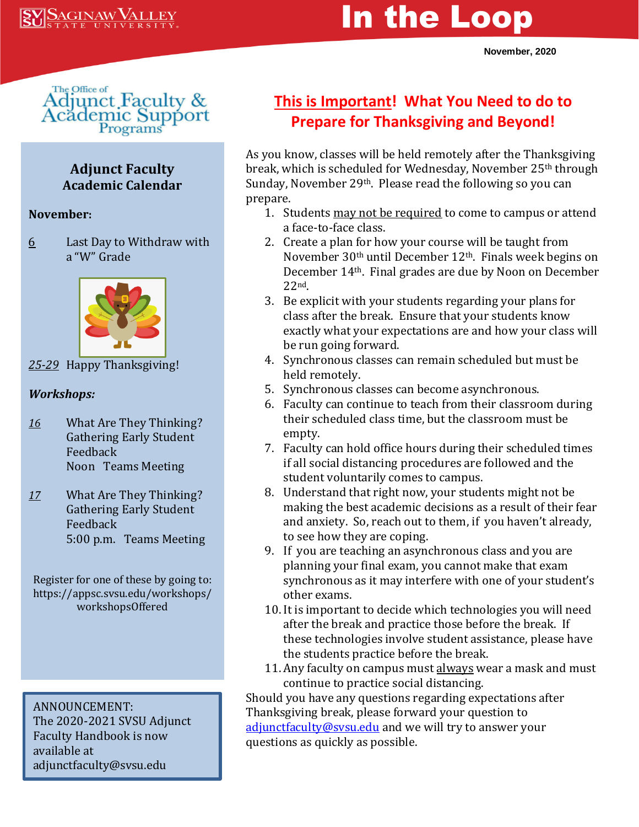# In the Loop

**November, 2020**



## **Adjunct Faculty Academic Calendar**

#### **November:**

6 Last Day to Withdraw with a "W" Grade



*25-29* Happy Thanksgiving!

### *Workshops:*

- *16* What Are They Thinking? Gathering Early Student Feedback Noon Teams Meeting
- *17* What Are They Thinking? Gathering Early Student Feedback 5:00 p.m. Teams Meeting

Register for one of these by going to: https://appsc.svsu.edu/workshops/ workshopsOffered

ANNOUNCEMENT: The 2020-2021 SVSU Adjunct Faculty Handbook is now available at adjunctfaculty@svsu.edu

# **This is Important! What You Need to do to Prepare for Thanksgiving and Beyond!**

As you know, classes will be held remotely after the Thanksgiving break, which is scheduled for Wednesday, November 25<sup>th</sup> through Sunday, November 29th. Please read the following so you can prepare.

- 1. Students may not be required to come to campus or attend a face-to-face class.
- 2. Create a plan for how your course will be taught from November 30<sup>th</sup> until December 12<sup>th</sup>. Finals week begins on December 14th. Final grades are due by Noon on December 22nd.
- 3. Be explicit with your students regarding your plans for class after the break. Ensure that your students know exactly what your expectations are and how your class will be run going forward.
- 4. Synchronous classes can remain scheduled but must be held remotely.
- 5. Synchronous classes can become asynchronous.
- 6. Faculty can continue to teach from their classroom during their scheduled class time, but the classroom must be empty.
- 7. Faculty can hold office hours during their scheduled times if all social distancing procedures are followed and the student voluntarily comes to campus.
- 8. Understand that right now, your students might not be making the best academic decisions as a result of their fear and anxiety. So, reach out to them, if you haven't already, to see how they are coping.
- 9. If you are teaching an asynchronous class and you are planning your final exam, you cannot make that exam synchronous as it may interfere with one of your student's other exams.
- 10. It is important to decide which technologies you will need after the break and practice those before the break. If these technologies involve student assistance, please have the students practice before the break.
- 11. Any faculty on campus must always wear a mask and must continue to practice social distancing.

Should you have any questions regarding expectations after Thanksgiving break, please forward your question to [adjunctfaculty@svsu.edu](mailto:adjunctfaculty@svsu.edu) and we will try to answer your questions as quickly as possible.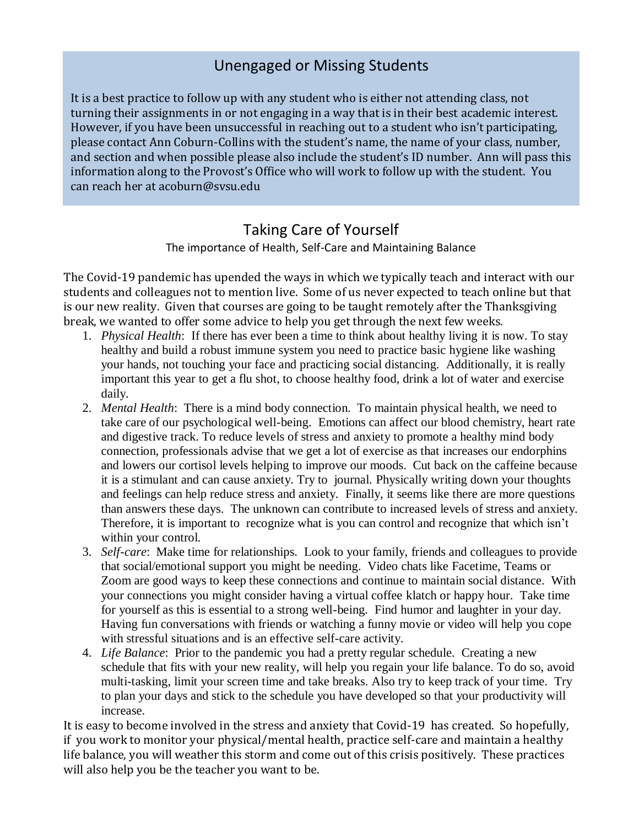# Unengaged or Missing Students

It is a best practice to follow up with any student who is either not attending class, not turning their assignments in or not engaging in a way that is in their best academic interest. However, if you have been unsuccessful in reaching out to a student who isn't participating, please contact Ann Coburn-Collins with the student's name, the name of your class, number, and section and when possible please also include the student's ID number. Ann will pass this information along to the Provost's Office who will work to follow up with the student. You can reach her at acoburn@svsu.edu

# Taking Care of Yourself

The importance of Health, Self-Care and Maintaining Balance

The Covid-19 pandemic has upended the ways in which we typically teach and interact with our students and colleagues not to mention live. Some of us never expected to teach online but that is our new reality. Given that courses are going to be taught remotely after the Thanksgiving break, we wanted to offer some advice to help you get through the next few weeks.

- 1. *Physical Health*: If there has ever been a time to think about healthy living it is now. To stay healthy and build a robust immune system you need to practice basic hygiene like washing your hands, not touching your face and practicing social distancing. Additionally, it is really important this year to get a flu shot, to choose healthy food, drink a lot of water and exercise daily.
- 2. *Mental Health*: There is a mind body connection. To maintain physical health, we need to take care of our psychological well-being. Emotions can affect our blood chemistry, heart rate and digestive track. To reduce levels of stress and anxiety to promote a healthy mind body connection, professionals advise that we get a lot of exercise as that increases our endorphins and lowers our cortisol levels helping to improve our moods. Cut back on the caffeine because it is a stimulant and can cause anxiety. Try to journal. Physically writing down your thoughts and feelings can help reduce stress and anxiety. Finally, it seems like there are more questions than answers these days. The unknown can contribute to increased levels of stress and anxiety. Therefore, it is important to recognize what is you can control and recognize that which isn't within your control.
- 3. *Self-care*: Make time for relationships. Look to your family, friends and colleagues to provide that social/emotional support you might be needing. Video chats like Facetime, Teams or Zoom are good ways to keep these connections and continue to maintain social distance. With your connections you might consider having a virtual coffee klatch or happy hour. Take time for yourself as this is essential to a strong well-being. Find humor and laughter in your day. Having fun conversations with friends or watching a funny movie or video will help you cope with stressful situations and is an effective self-care activity.
- 4. *Life Balance*: Prior to the pandemic you had a pretty regular schedule. Creating a new schedule that fits with your new reality, will help you regain your life balance. To do so, avoid multi-tasking, limit your screen time and take breaks. Also try to keep track of your time. Try to plan your days and stick to the schedule you have developed so that your productivity will increase.

It is easy to become involved in the stress and anxiety that Covid-19 has created. So hopefully, if you work to monitor your physical/mental health, practice self-care and maintain a healthy life balance, you will weather this storm and come out of this crisis positively. These practices will also help you be the teacher you want to be.